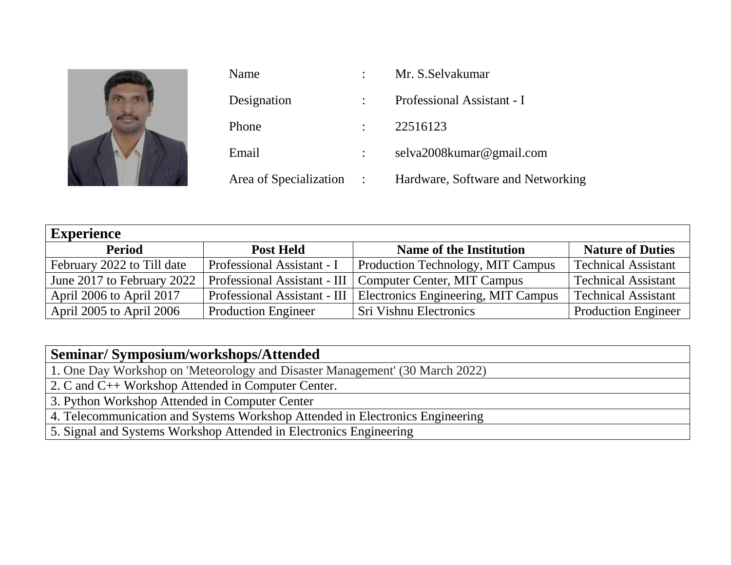

| Name                     | Mr. S. Selvakumar                 |  |
|--------------------------|-----------------------------------|--|
| Designation              | Professional Assistant - I        |  |
| Phone                    | 22516123                          |  |
| Email                    | selva2008kumar@gmail.com          |  |
| Area of Specialization : | Hardware, Software and Networking |  |

| <b>Experience</b>          |                            |                                                                    |                            |  |  |
|----------------------------|----------------------------|--------------------------------------------------------------------|----------------------------|--|--|
| <b>Period</b>              | <b>Post Held</b>           | <b>Name of the Institution</b>                                     | <b>Nature of Duties</b>    |  |  |
| February 2022 to Till date | Professional Assistant - I | <b>Production Technology, MIT Campus</b>                           | <b>Technical Assistant</b> |  |  |
| June 2017 to February 2022 |                            | Professional Assistant - III   Computer Center, MIT Campus         | <b>Technical Assistant</b> |  |  |
| April 2006 to April 2017   |                            | Professional Assistant - III   Electronics Engineering, MIT Campus | <b>Technical Assistant</b> |  |  |
| April 2005 to April 2006   | <b>Production Engineer</b> | <b>Sri Vishnu Electronics</b>                                      | <b>Production Engineer</b> |  |  |

## **Seminar/ Symposium/workshops/Attended**

1. One Day Workshop on 'Meteorology and Disaster Management' (30 March 2022)

2. C and C++ Workshop Attended in Computer Center.

3. Python Workshop Attended in Computer Center

4. Telecommunication and Systems Workshop Attended in Electronics Engineering

5. Signal and Systems Workshop Attended in Electronics Engineering